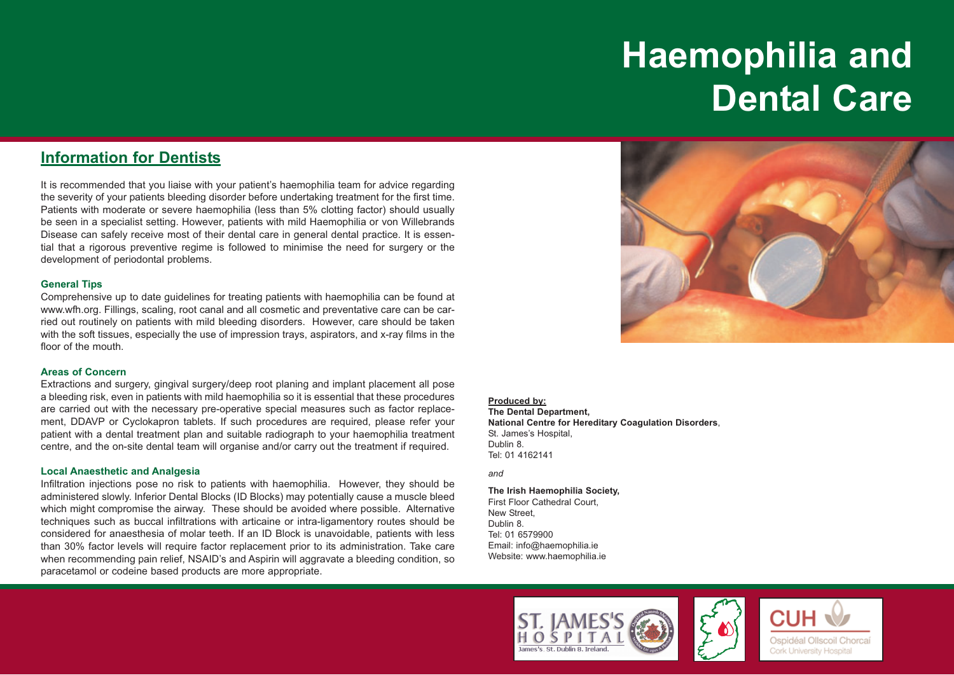# **Haemophilia and Dental Care**

# **Information for Dentists**

It is recommended that you liaise with your patient's haemophilia team for advice regarding the severity of your patients bleeding disorder before undertaking treatment for the first time. Patients with moderate or severe haemophilia (less than 5% clotting factor) should usually be seen in a specialist setting. However, patients with mild Haemophilia or von Willebrands Disease can safely receive most of their dental care in general dental practice. It is essential that a rigorous preventive regime is followed to minimise the need for surgery or the development of periodontal problems.

## **General Tips**

Comprehensive up to date guidelines for treating patients with haemophilia can be found at www.wfh.org. Fillings, scaling, root canal and all cosmetic and preventative care can be carried out routinely on patients with mild bleeding disorders. However, care should be taken with the soft tissues, especially the use of impression trays, aspirators, and x-ray films in the floor of the mouth.

## **Areas of Concern**

Extractions and surgery, gingival surgery/deep root planing and implant placement all pose a bleeding risk, even in patients with mild haemophilia so it is essential that these procedures are carried out with the necessary pre-operative special measures such as factor replacement, DDAVP or Cyclokapron tablets. If such procedures are required, please refer your patient with a dental treatment plan and suitable radiograph to your haemophilia treatment centre, and the on-site dental team will organise and/or carry out the treatment if required.

## **Local Anaesthetic and Analgesia**

Infiltration injections pose no risk to patients with haemophilia. However, they should be administered slowly. Inferior Dental Blocks (ID Blocks) may potentially cause a muscle bleed which might compromise the airway. These should be avoided where possible. Alternative techniques such as buccal infiltrations with articaine or intra-ligamentory routes should be considered for anaesthesia of molar teeth. If an ID Block is unavoidable, patients with less than 30% factor levels will require factor replacement prior to its administration. Take care when recommending pain relief, NSAID's and Aspirin will aggravate a bleeding condition, so paracetamol or codeine based products are more appropriate.



#### **Produced by:**

**The Dental Department, National Centre for Hereditary Coagulation Disorders**, St. James's Hospital, Dublin 8. Tel: 01 4162141

#### *and*

**The Irish Haemophilia Society,**  First Floor Cathedral Court, New Street, Dublin 8. Tel: 01 6579900 Email: info@haemophilia.ie Website: www.haemophilia.ie